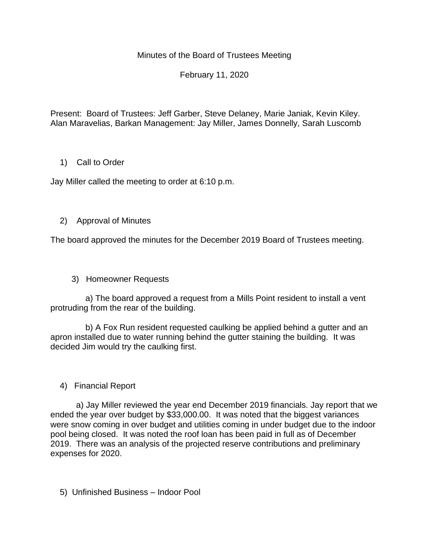Minutes of the Board of Trustees Meeting

February 11, 2020

Present: Board of Trustees: Jeff Garber, Steve Delaney, Marie Janiak, Kevin Kiley. Alan Maravelias, Barkan Management: Jay Miller, James Donnelly, Sarah Luscomb

# 1) Call to Order

Jay Miller called the meeting to order at 6:10 p.m.

# 2) Approval of Minutes

The board approved the minutes for the December 2019 Board of Trustees meeting.

3) Homeowner Requests

 a) The board approved a request from a Mills Point resident to install a vent protruding from the rear of the building.

 b) A Fox Run resident requested caulking be applied behind a gutter and an apron installed due to water running behind the gutter staining the building. It was decided Jim would try the caulking first.

# 4) Financial Report

 a) Jay Miller reviewed the year end December 2019 financials. Jay report that we ended the year over budget by \$33,000.00. It was noted that the biggest variances were snow coming in over budget and utilities coming in under budget due to the indoor pool being closed. It was noted the roof loan has been paid in full as of December 2019. There was an analysis of the projected reserve contributions and preliminary expenses for 2020.

5) Unfinished Business – Indoor Pool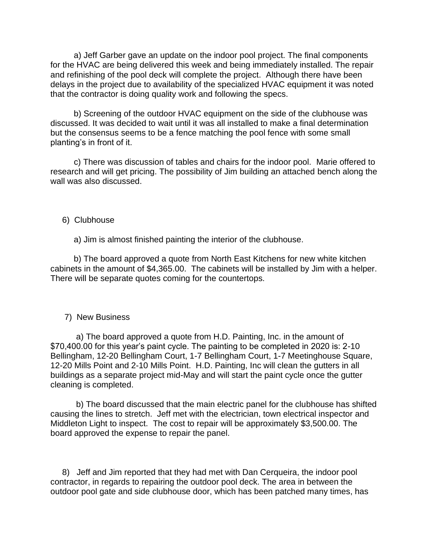a) Jeff Garber gave an update on the indoor pool project. The final components for the HVAC are being delivered this week and being immediately installed. The repair and refinishing of the pool deck will complete the project. Although there have been delays in the project due to availability of the specialized HVAC equipment it was noted that the contractor is doing quality work and following the specs.

 b) Screening of the outdoor HVAC equipment on the side of the clubhouse was discussed. It was decided to wait until it was all installed to make a final determination but the consensus seems to be a fence matching the pool fence with some small planting's in front of it.

 c) There was discussion of tables and chairs for the indoor pool. Marie offered to research and will get pricing. The possibility of Jim building an attached bench along the wall was also discussed.

### 6) Clubhouse

a) Jim is almost finished painting the interior of the clubhouse.

 b) The board approved a quote from North East Kitchens for new white kitchen cabinets in the amount of \$4,365.00. The cabinets will be installed by Jim with a helper. There will be separate quotes coming for the countertops.

### 7) New Business

 a) The board approved a quote from H.D. Painting, Inc. in the amount of \$70,400.00 for this year's paint cycle. The painting to be completed in 2020 is: 2-10 Bellingham, 12-20 Bellingham Court, 1-7 Bellingham Court, 1-7 Meetinghouse Square, 12-20 Mills Point and 2-10 Mills Point. H.D. Painting, Inc will clean the gutters in all buildings as a separate project mid-May and will start the paint cycle once the gutter cleaning is completed.

 b) The board discussed that the main electric panel for the clubhouse has shifted causing the lines to stretch. Jeff met with the electrician, town electrical inspector and Middleton Light to inspect. The cost to repair will be approximately \$3,500.00. The board approved the expense to repair the panel.

 8) Jeff and Jim reported that they had met with Dan Cerqueira, the indoor pool contractor, in regards to repairing the outdoor pool deck. The area in between the outdoor pool gate and side clubhouse door, which has been patched many times, has